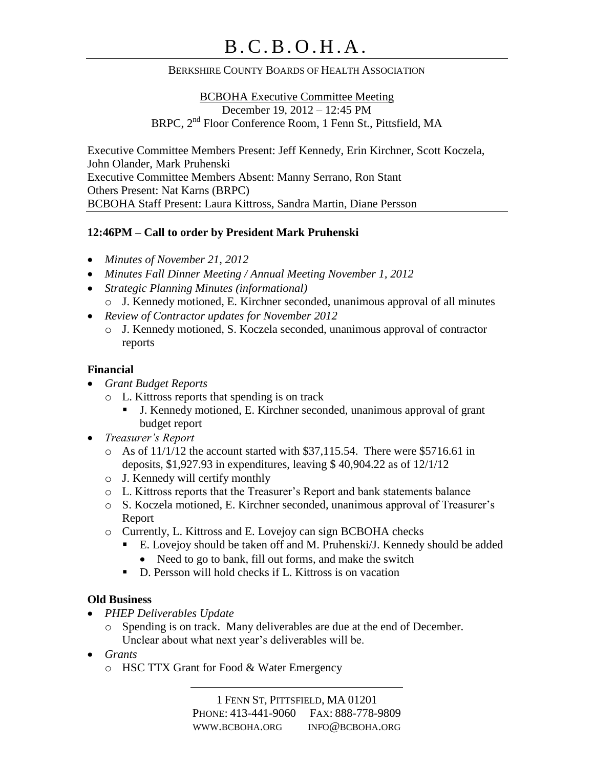### BERKSHIRE COUNTY BOARDS OF HEALTH ASSOCIATION

BCBOHA Executive Committee Meeting December 19, 2012 – 12:45 PM BRPC, 2nd Floor Conference Room, 1 Fenn St., Pittsfield, MA

Executive Committee Members Present: Jeff Kennedy, Erin Kirchner, Scott Koczela, John Olander, Mark Pruhenski Executive Committee Members Absent: Manny Serrano, Ron Stant Others Present: Nat Karns (BRPC) BCBOHA Staff Present: Laura Kittross, Sandra Martin, Diane Persson

### **12:46PM – Call to order by President Mark Pruhenski**

- *Minutes of November 21, 2012*
- *Minutes Fall Dinner Meeting / Annual Meeting November 1, 2012*
- *Strategic Planning Minutes (informational)* o J. Kennedy motioned, E. Kirchner seconded, unanimous approval of all minutes
- *Review of Contractor updates for November 2012*
	- o J. Kennedy motioned, S. Koczela seconded, unanimous approval of contractor reports

#### **Financial**

- *Grant Budget Reports*
	- o L. Kittross reports that spending is on track
		- J. Kennedy motioned, E. Kirchner seconded, unanimous approval of grant budget report
- *Treasurer's Report*
	- $\circ$  As of 11/1/12 the account started with \$37,115.54. There were \$5716.61 in deposits, \$1,927.93 in expenditures, leaving \$ 40,904.22 as of 12/1/12
	- o J. Kennedy will certify monthly
	- o L. Kittross reports that the Treasurer's Report and bank statements balance
	- o S. Koczela motioned, E. Kirchner seconded, unanimous approval of Treasurer's Report
	- o Currently, L. Kittross and E. Lovejoy can sign BCBOHA checks
		- E. Lovejoy should be taken off and M. Pruhenski/J. Kennedy should be added • Need to go to bank, fill out forms, and make the switch
			-
		- D. Persson will hold checks if L. Kittross is on vacation

#### **Old Business**

- *PHEP Deliverables Update*
	- o Spending is on track. Many deliverables are due at the end of December. Unclear about what next year's deliverables will be.
- *Grants*
	- o HSC TTX Grant for Food & Water Emergency

1 FENN ST, PITTSFIELD, MA 01201 PHONE: 413-441-9060 FAX: 888-778-9809 WWW.BCBOHA.ORG INFO@BCBOHA.ORG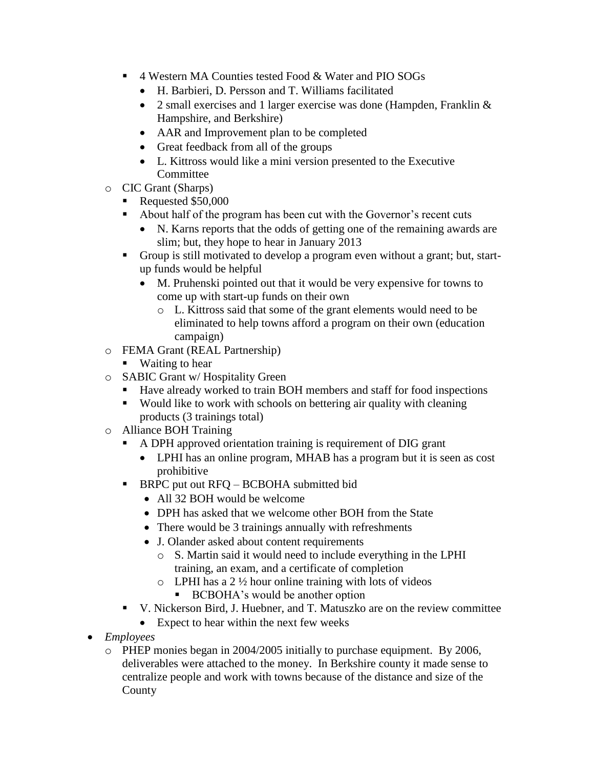- 4 Western MA Counties tested Food & Water and PIO SOGs
	- H. Barbieri, D. Persson and T. Williams facilitated
	- 2 small exercises and 1 larger exercise was done (Hampden, Franklin & Hampshire, and Berkshire)
	- AAR and Improvement plan to be completed
	- Great feedback from all of the groups
	- L. Kittross would like a mini version presented to the Executive Committee
- o CIC Grant (Sharps)
	- Requested \$50,000
	- About half of the program has been cut with the Governor's recent cuts
		- N. Karns reports that the odds of getting one of the remaining awards are slim; but, they hope to hear in January 2013
	- Group is still motivated to develop a program even without a grant; but, startup funds would be helpful
		- M. Pruhenski pointed out that it would be very expensive for towns to come up with start-up funds on their own
			- o L. Kittross said that some of the grant elements would need to be eliminated to help towns afford a program on their own (education campaign)
- o FEMA Grant (REAL Partnership)
	- Waiting to hear
- o SABIC Grant w/ Hospitality Green
	- Have already worked to train BOH members and staff for food inspections
	- Would like to work with schools on bettering air quality with cleaning products (3 trainings total)
- o Alliance BOH Training
	- A DPH approved orientation training is requirement of DIG grant
		- LPHI has an online program, MHAB has a program but it is seen as cost prohibitive
	- **BRPC** put out RFQ BCBOHA submitted bid
		- All 32 BOH would be welcome
		- DPH has asked that we welcome other BOH from the State
		- There would be 3 trainings annually with refreshments
		- J. Olander asked about content requirements
			- o S. Martin said it would need to include everything in the LPHI training, an exam, and a certificate of completion
			- $\circ$  LPHI has a 2  $\frac{1}{2}$  hour online training with lots of videos
				- BCBOHA's would be another option
	- V. Nickerson Bird, J. Huebner, and T. Matuszko are on the review committee
		- Expect to hear within the next few weeks
- *Employees*
	- o PHEP monies began in 2004/2005 initially to purchase equipment. By 2006, deliverables were attached to the money. In Berkshire county it made sense to centralize people and work with towns because of the distance and size of the County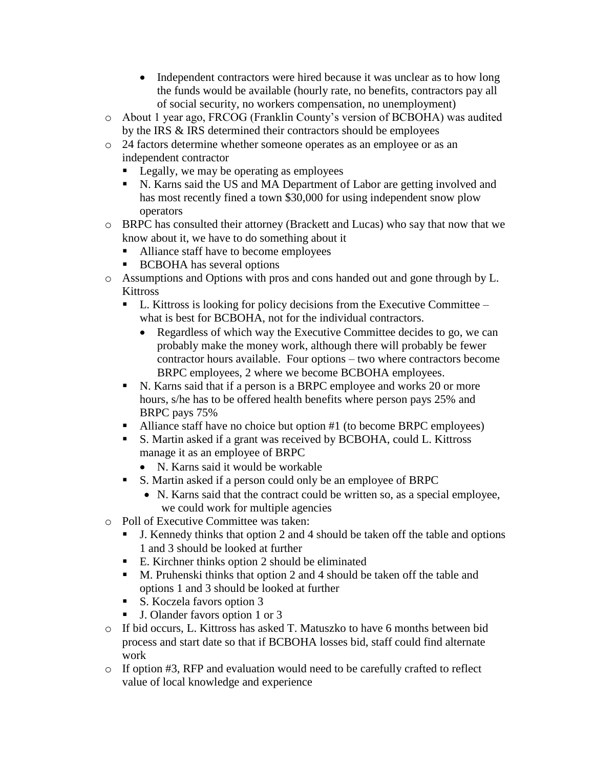- Independent contractors were hired because it was unclear as to how long the funds would be available (hourly rate, no benefits, contractors pay all of social security, no workers compensation, no unemployment)
- o About 1 year ago, FRCOG (Franklin County's version of BCBOHA) was audited by the IRS & IRS determined their contractors should be employees
- o 24 factors determine whether someone operates as an employee or as an independent contractor
	- **Legally, we may be operating as employees**
	- N. Karns said the US and MA Department of Labor are getting involved and has most recently fined a town \$30,000 for using independent snow plow operators
- o BRPC has consulted their attorney (Brackett and Lucas) who say that now that we know about it, we have to do something about it
	- Alliance staff have to become employees
	- **BCBOHA** has several options
- o Assumptions and Options with pros and cons handed out and gone through by L. **Kittross** 
	- $\blacksquare$  L. Kittross is looking for policy decisions from the Executive Committee what is best for BCBOHA, not for the individual contractors.
		- Regardless of which way the Executive Committee decides to go, we can probably make the money work, although there will probably be fewer contractor hours available. Four options – two where contractors become BRPC employees, 2 where we become BCBOHA employees.
	- N. Karns said that if a person is a BRPC employee and works 20 or more hours, s/he has to be offered health benefits where person pays 25% and BRPC pays 75%
	- Alliance staff have no choice but option #1 (to become BRPC employees)
	- S. Martin asked if a grant was received by BCBOHA, could L. Kittross manage it as an employee of BRPC
		- N. Karns said it would be workable
	- S. Martin asked if a person could only be an employee of BRPC
		- N. Karns said that the contract could be written so, as a special employee, we could work for multiple agencies
- o Poll of Executive Committee was taken:
	- J. Kennedy thinks that option 2 and 4 should be taken off the table and options 1 and 3 should be looked at further
	- E. Kirchner thinks option 2 should be eliminated
	- M. Pruhenski thinks that option 2 and 4 should be taken off the table and options 1 and 3 should be looked at further
	- S. Koczela favors option 3
	- J. Olander favors option 1 or 3
- o If bid occurs, L. Kittross has asked T. Matuszko to have 6 months between bid process and start date so that if BCBOHA losses bid, staff could find alternate work
- o If option #3, RFP and evaluation would need to be carefully crafted to reflect value of local knowledge and experience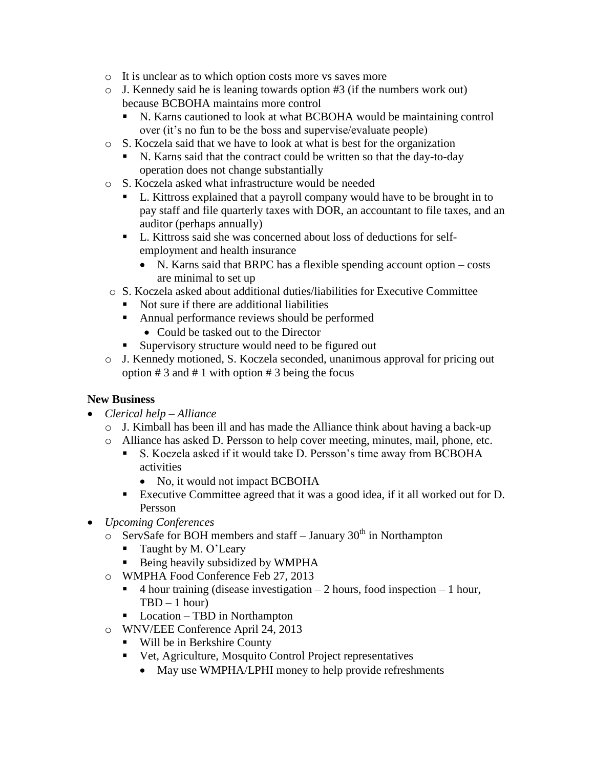- o It is unclear as to which option costs more vs saves more
- o J. Kennedy said he is leaning towards option #3 (if the numbers work out) because BCBOHA maintains more control
	- N. Karns cautioned to look at what BCBOHA would be maintaining control over (it's no fun to be the boss and supervise/evaluate people)
- o S. Koczela said that we have to look at what is best for the organization
	- N. Karns said that the contract could be written so that the day-to-day operation does not change substantially
- o S. Koczela asked what infrastructure would be needed
	- L. Kittross explained that a payroll company would have to be brought in to pay staff and file quarterly taxes with DOR, an accountant to file taxes, and an auditor (perhaps annually)
	- L. Kittross said she was concerned about loss of deductions for selfemployment and health insurance
		- N. Karns said that BRPC has a flexible spending account option costs are minimal to set up
- o S. Koczela asked about additional duties/liabilities for Executive Committee
	- Not sure if there are additional liabilities
	- Annual performance reviews should be performed
		- Could be tasked out to the Director
	- Supervisory structure would need to be figured out
- o J. Kennedy motioned, S. Koczela seconded, unanimous approval for pricing out option  $# 3$  and  $# 1$  with option  $# 3$  being the focus

### **New Business**

- *Clerical help – Alliance*
	- o J. Kimball has been ill and has made the Alliance think about having a back-up
	- o Alliance has asked D. Persson to help cover meeting, minutes, mail, phone, etc.
		- S. Koczela asked if it would take D. Persson's time away from BCBOHA activities
			- No, it would not impact BCBOHA
		- Executive Committee agreed that it was a good idea, if it all worked out for D. Persson
- *Upcoming Conferences*
	- $\circ$  ServSafe for BOH members and staff January 30<sup>th</sup> in Northampton
		- **Taught by M. O'Leary**
		- Being heavily subsidized by WMPHA
	- o WMPHA Food Conference Feb 27, 2013
		- $\blacksquare$  4 hour training (disease investigation 2 hours, food inspection 1 hour,  $TBD - 1 hour$
		- Location TBD in Northampton
	- o WNV/EEE Conference April 24, 2013
		- Will be in Berkshire County
		- Vet, Agriculture, Mosquito Control Project representatives
			- May use WMPHA/LPHI money to help provide refreshments